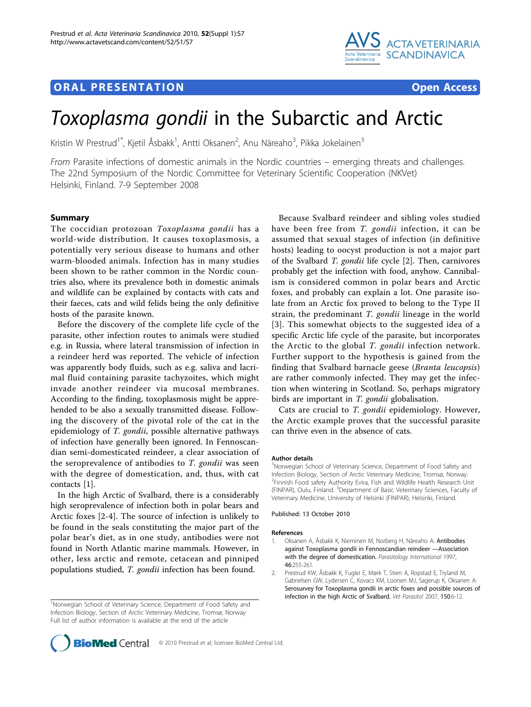# **ORAL PRESENTATION CONSUMING ACCESS**



# Toxoplasma gondii in the Subarctic and Arctic

Kristin W Prestrud<sup>1\*</sup>, Kjetil Åsbakk<sup>1</sup>, Antti Oksanen<sup>2</sup>, Anu Näreaho<sup>3</sup>, Pikka Jokelainen<sup>3</sup>

From Parasite infections of domestic animals in the Nordic countries – emerging threats and challenges. The 22nd Symposium of the Nordic Committee for Veterinary Scientific Cooperation (NKVet) Helsinki, Finland. 7-9 September 2008

# Summary

The coccidian protozoan Toxoplasma gondii has a world-wide distribution. It causes toxoplasmosis, a potentially very serious disease to humans and other warm-blooded animals. Infection has in many studies been shown to be rather common in the Nordic countries also, where its prevalence both in domestic animals and wildlife can be explained by contacts with cats and their faeces, cats and wild felids being the only definitive hosts of the parasite known.

Before the discovery of the complete life cycle of the parasite, other infection routes to animals were studied e.g. in Russia, where lateral transmission of infection in a reindeer herd was reported. The vehicle of infection was apparently body fluids, such as e.g. saliva and lacrimal fluid containing parasite tachyzoites, which might invade another reindeer via mucosal membranes. According to the finding, toxoplasmosis might be apprehended to be also a sexually transmitted disease. Following the discovery of the pivotal role of the cat in the epidemiology of T. gondii, possible alternative pathways of infection have generally been ignored. In Fennoscandian semi-domesticated reindeer, a clear association of the seroprevalence of antibodies to T. gondii was seen with the degree of domestication, and, thus, with cat contacts [1].

In the high Arctic of Svalbard, there is a considerably high seroprevalence of infection both in polar bears and Arctic foxes [2-[4\]](#page-1-0). The source of infection is unlikely to be found in the seals constituting the major part of the polar bear's diet, as in one study, antibodies were not found in North Atlantic marine mammals. However, in other, less arctic and remote, cetacean and pinniped populations studied, T. gondii infection has been found.

Because Svalbard reindeer and sibling voles studied have been free from T. gondii infection, it can be assumed that sexual stages of infection (in definitive hosts) leading to oocyst production is not a major part of the Svalbard T. gondii life cycle [2]. Then, carnivores probably get the infection with food, anyhow. Cannibalism is considered common in polar bears and Arctic foxes, and probably can explain a lot. One parasite isolate from an Arctic fox proved to belong to the Type II strain, the predominant T. gondii lineage in the world [[3](#page-1-0)]. This somewhat objects to the suggested idea of a specific Arctic life cycle of the parasite, but incorporates the Arctic to the global T. gondii infection network. Further support to the hypothesis is gained from the finding that Svalbard barnacle geese (Branta leucopsis) are rather commonly infected. They may get the infection when wintering in Scotland. So, perhaps migratory birds are important in *T. gondii* globalisation.

Cats are crucial to T. gondii epidemiology. However, the Arctic example proves that the successful parasite can thrive even in the absence of cats.

#### Author details

<sup>1</sup>Norwegian School of Veterinary Science, Department of Food Safety and Infection Biology, Section of Arctic Veterinary Medicine, Tromsø, Norway. <sup>2</sup> Finnish Food safety Authority Evira, Fish and Wildlife Health Research Unit (FINPAR), Oulu, Finland. <sup>3</sup>Department of Basic Veterinary Sciences, Faculty of Veterinary Medicine, University of Helsinki (FINPAR), Helsinki, Finland.

Published: 13 October 2010

#### References

- Oksanen A, Åsbakk K, Nieminen M, Norberg H, Näreaho A: Antibodies against Toxoplasma gondii in Fennoscandian reindeer —Association with the degree of domestication. Parasitology International 1997, 46:255-261.
- 2. Prestrud KW, Åsbakk K, Fuglei E, Mørk T, Stien A, Ropstad E, Tryland M, Gabrielsen GW, Lydersen C, Kovacs KM, Loonen MJ, Sagerup K, Oksanen A: [Serosurvey for Toxoplasma gondii in arctic foxes and possible sources of](http://www.ncbi.nlm.nih.gov/pubmed/17950534?dopt=Abstract) [infection in the high Arctic of Svalbard.](http://www.ncbi.nlm.nih.gov/pubmed/17950534?dopt=Abstract) Vet Parasitol 2007, 150:6-12.



<sup>&</sup>lt;sup>1</sup>Norwegian School of Veterinary Science, Department of Food Safety and Infection Biology, Section of Arctic Veterinary Medicine, Tromsø, Norway Full list of author information is available at the end of the article